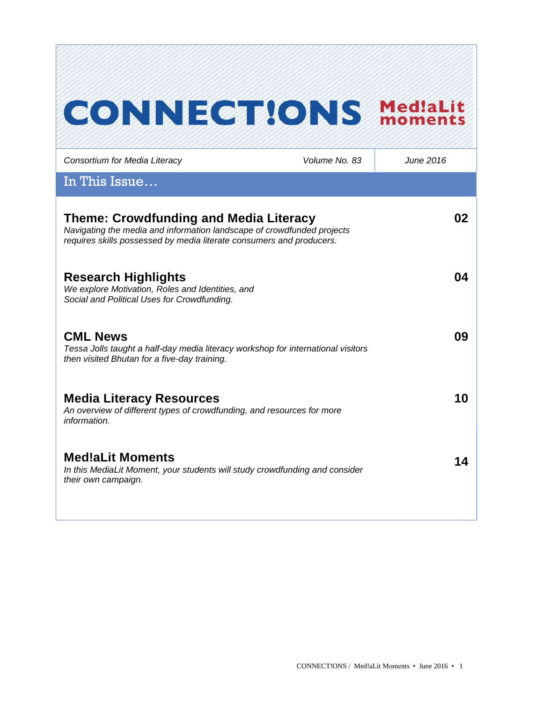# **CONNECT!ONS Med!aLit**

| Consortium for Media Literacy                                                                                                                                                                   | Volume No. 83 | June 2016 |
|-------------------------------------------------------------------------------------------------------------------------------------------------------------------------------------------------|---------------|-----------|
| In This Issue                                                                                                                                                                                   |               |           |
| <b>Theme: Crowdfunding and Media Literacy</b><br>Navigating the media and information landscape of crowdfunded projects<br>requires skills possessed by media literate consumers and producers. |               | 02        |
| <b>Research Highlights</b><br>We explore Motivation, Roles and Identities, and<br>Social and Political Uses for Crowdfunding.                                                                   |               | 04        |
| <b>CML News</b><br>Tessa Jolls taught a half-day media literacy workshop for international visitors<br>then visited Bhutan for a five-day training.                                             |               | 09        |
| <b>Media Literacy Resources</b><br>An overview of different types of crowdfunding, and resources for more<br>information.                                                                       |               | 10        |
| <b>Med!aLit Moments</b><br>In this MediaLit Moment, your students will study crowdfunding and consider<br>their own campaign.                                                                   |               | 14        |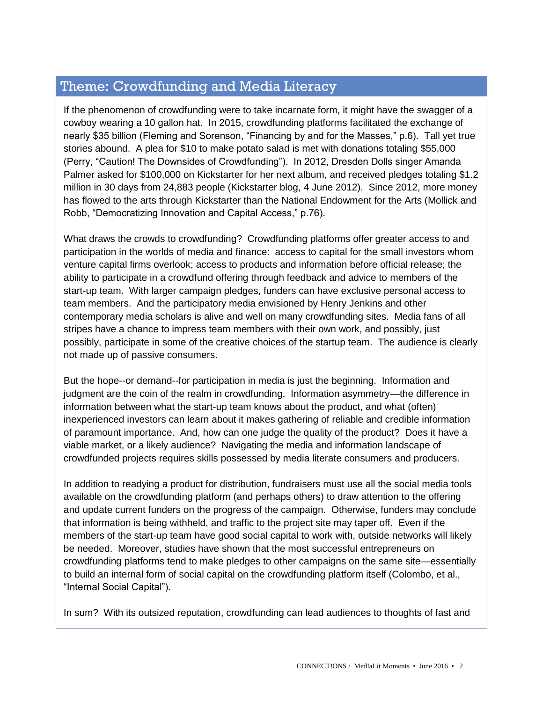# Theme: Crowdfunding and Media Literacy

If the phenomenon of crowdfunding were to take incarnate form, it might have the swagger of a cowboy wearing a 10 gallon hat. In 2015, crowdfunding platforms facilitated the exchange of nearly \$35 billion (Fleming and Sorenson, "Financing by and for the Masses," p.6). Tall yet true stories abound. A plea for \$10 to make potato salad is met with donations totaling \$55,000 (Perry, "Caution! The Downsides of Crowdfunding"). In 2012, Dresden Dolls singer Amanda Palmer asked for \$100,000 on Kickstarter for her next album, and received pledges totaling \$1.2 million in 30 days from 24,883 people (Kickstarter blog, 4 June 2012). Since 2012, more money has flowed to the arts through Kickstarter than the National Endowment for the Arts (Mollick and Robb, "Democratizing Innovation and Capital Access," p.76).

What draws the crowds to crowdfunding? Crowdfunding platforms offer greater access to and participation in the worlds of media and finance: access to capital for the small investors whom venture capital firms overlook; access to products and information before official release; the ability to participate in a crowdfund offering through feedback and advice to members of the start-up team. With larger campaign pledges, funders can have exclusive personal access to team members. And the participatory media envisioned by Henry Jenkins and other contemporary media scholars is alive and well on many crowdfunding sites. Media fans of all stripes have a chance to impress team members with their own work, and possibly, just possibly, participate in some of the creative choices of the startup team. The audience is clearly not made up of passive consumers.

But the hope--or demand--for participation in media is just the beginning. Information and judgment are the coin of the realm in crowdfunding. Information asymmetry—the difference in information between what the start-up team knows about the product, and what (often) inexperienced investors can learn about it makes gathering of reliable and credible information of paramount importance. And, how can one judge the quality of the product? Does it have a viable market, or a likely audience? Navigating the media and information landscape of crowdfunded projects requires skills possessed by media literate consumers and producers.

In addition to readying a product for distribution, fundraisers must use all the social media tools available on the crowdfunding platform (and perhaps others) to draw attention to the offering and update current funders on the progress of the campaign. Otherwise, funders may conclude that information is being withheld, and traffic to the project site may taper off. Even if the members of the start-up team have good social capital to work with, outside networks will likely be needed. Moreover, studies have shown that the most successful entrepreneurs on crowdfunding platforms tend to make pledges to other campaigns on the same site—essentially to build an internal form of social capital on the crowdfunding platform itself (Colombo, et al., "Internal Social Capital").

In sum? With its outsized reputation, crowdfunding can lead audiences to thoughts of fast and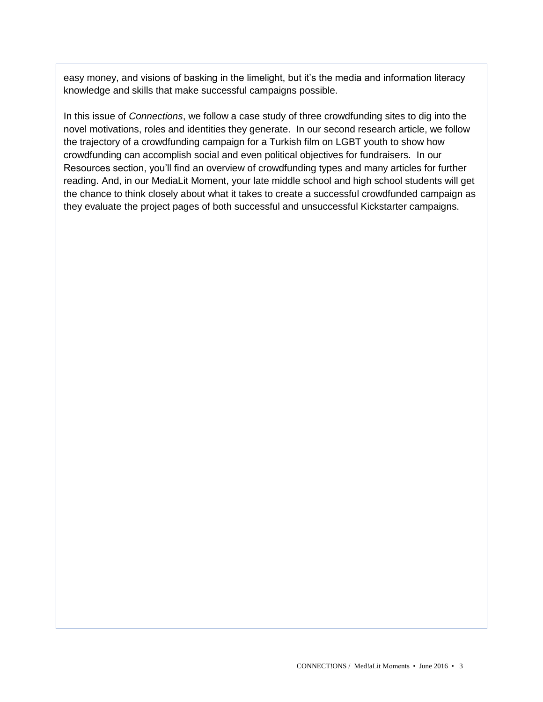easy money, and visions of basking in the limelight, but it's the media and information literacy knowledge and skills that make successful campaigns possible.

In this issue of *Connections*, we follow a case study of three crowdfunding sites to dig into the novel motivations, roles and identities they generate. In our second research article, we follow the trajectory of a crowdfunding campaign for a Turkish film on LGBT youth to show how crowdfunding can accomplish social and even political objectives for fundraisers. In our Resources section, you'll find an overview of crowdfunding types and many articles for further reading. And, in our MediaLit Moment, your late middle school and high school students will get the chance to think closely about what it takes to create a successful crowdfunded campaign as they evaluate the project pages of both successful and unsuccessful Kickstarter campaigns.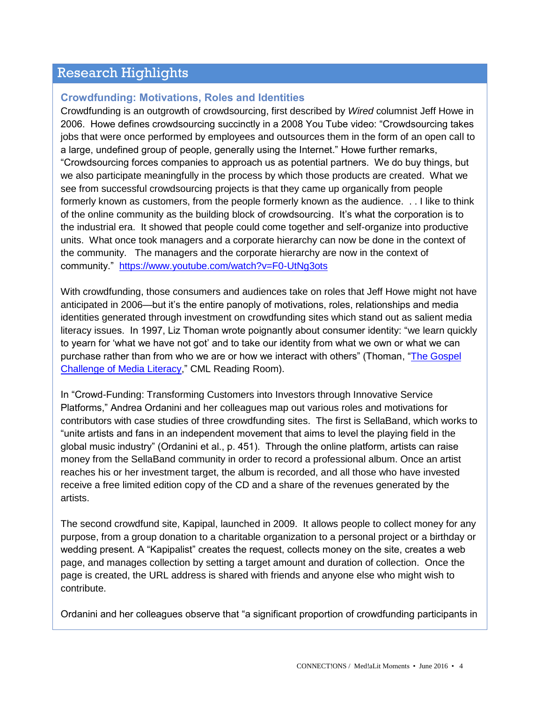# Research Highlights

## **Crowdfunding: Motivations, Roles and Identities**

Crowdfunding is an outgrowth of crowdsourcing, first described by *Wired* columnist Jeff Howe in 2006. Howe defines crowdsourcing succinctly in a 2008 You Tube video: "Crowdsourcing takes jobs that were once performed by employees and outsources them in the form of an open call to a large, undefined group of people, generally using the Internet." Howe further remarks, "Crowdsourcing forces companies to approach us as potential partners. We do buy things, but we also participate meaningfully in the process by which those products are created. What we see from successful crowdsourcing projects is that they came up organically from people formerly known as customers, from the people formerly known as the audience. . . I like to think of the online community as the building block of crowdsourcing. It's what the corporation is to the industrial era. It showed that people could come together and self-organize into productive units. What once took managers and a corporate hierarchy can now be done in the context of the community. The managers and the corporate hierarchy are now in the context of community." <https://www.youtube.com/watch?v=F0-UtNg3ots>

With crowdfunding, those consumers and audiences take on roles that Jeff Howe might not have anticipated in 2006—but it's the entire panoply of motivations, roles, relationships and media identities generated through investment on crowdfunding sites which stand out as salient media literacy issues. In 1997, Liz Thoman wrote poignantly about consumer identity: "we learn quickly to yearn for 'what we have not got' and to take our identity from what we own or what we can purchase rather than from who we are or how we interact with others" (Thoman, ["The Gospel](http://www.medialit.org/reading-room/gospel-challenge-media-literacy)  [Challenge of Media Literacy,](http://www.medialit.org/reading-room/gospel-challenge-media-literacy)" CML Reading Room).

In "Crowd-Funding: Transforming Customers into Investors through Innovative Service Platforms," Andrea Ordanini and her colleagues map out various roles and motivations for contributors with case studies of three crowdfunding sites. The first is SellaBand, which works to "unite artists and fans in an independent movement that aims to level the playing field in the global music industry" (Ordanini et al., p. 451). Through the online platform, artists can raise money from the SellaBand community in order to record a professional album. Once an artist reaches his or her investment target, the album is recorded, and all those who have invested receive a free limited edition copy of the CD and a share of the revenues generated by the artists.

The second crowdfund site, Kapipal, launched in 2009. It allows people to collect money for any purpose, from a group donation to a charitable organization to a personal project or a birthday or wedding present. A "Kapipalist" creates the request, collects money on the site, creates a web page, and manages collection by setting a target amount and duration of collection. Once the page is created, the URL address is shared with friends and anyone else who might wish to contribute.

Ordanini and her colleagues observe that "a significant proportion of crowdfunding participants in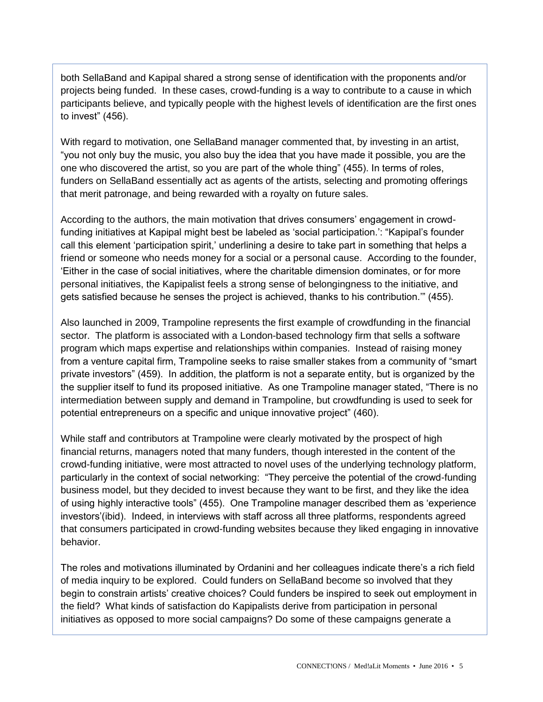both SellaBand and Kapipal shared a strong sense of identification with the proponents and/or projects being funded. In these cases, crowd-funding is a way to contribute to a cause in which participants believe, and typically people with the highest levels of identification are the first ones to invest" (456).

With regard to motivation, one SellaBand manager commented that, by investing in an artist, "you not only buy the music, you also buy the idea that you have made it possible, you are the one who discovered the artist, so you are part of the whole thing" (455). In terms of roles, funders on SellaBand essentially act as agents of the artists, selecting and promoting offerings that merit patronage, and being rewarded with a royalty on future sales.

According to the authors, the main motivation that drives consumers' engagement in crowdfunding initiatives at Kapipal might best be labeled as 'social participation.': "Kapipal's founder call this element 'participation spirit,' underlining a desire to take part in something that helps a friend or someone who needs money for a social or a personal cause. According to the founder, 'Either in the case of social initiatives, where the charitable dimension dominates, or for more personal initiatives, the Kapipalist feels a strong sense of belongingness to the initiative, and gets satisfied because he senses the project is achieved, thanks to his contribution.'" (455).

Also launched in 2009, Trampoline represents the first example of crowdfunding in the financial sector. The platform is associated with a London-based technology firm that sells a software program which maps expertise and relationships within companies. Instead of raising money from a venture capital firm, Trampoline seeks to raise smaller stakes from a community of "smart private investors" (459). In addition, the platform is not a separate entity, but is organized by the the supplier itself to fund its proposed initiative. As one Trampoline manager stated, "There is no intermediation between supply and demand in Trampoline, but crowdfunding is used to seek for potential entrepreneurs on a specific and unique innovative project" (460).

While staff and contributors at Trampoline were clearly motivated by the prospect of high financial returns, managers noted that many funders, though interested in the content of the crowd-funding initiative, were most attracted to novel uses of the underlying technology platform, particularly in the context of social networking: "They perceive the potential of the crowd-funding business model, but they decided to invest because they want to be first, and they like the idea of using highly interactive tools" (455). One Trampoline manager described them as 'experience investors'(ibid). Indeed, in interviews with staff across all three platforms, respondents agreed that consumers participated in crowd-funding websites because they liked engaging in innovative behavior.

The roles and motivations illuminated by Ordanini and her colleagues indicate there's a rich field of media inquiry to be explored. Could funders on SellaBand become so involved that they begin to constrain artists' creative choices? Could funders be inspired to seek out employment in the field? What kinds of satisfaction do Kapipalists derive from participation in personal initiatives as opposed to more social campaigns? Do some of these campaigns generate a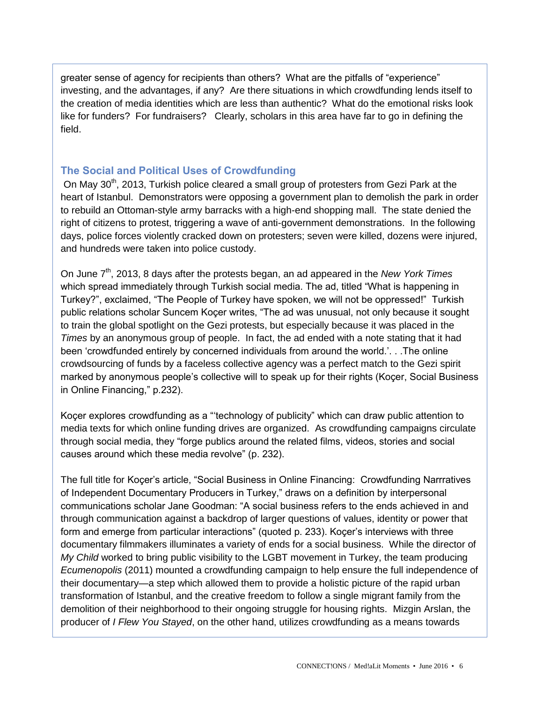greater sense of agency for recipients than others? What are the pitfalls of "experience" investing, and the advantages, if any? Are there situations in which crowdfunding lends itself to the creation of media identities which are less than authentic? What do the emotional risks look like for funders? For fundraisers? Clearly, scholars in this area have far to go in defining the field.

## **The Social and Political Uses of Crowdfunding**

On May 30<sup>th</sup>, 2013, Turkish police cleared a small group of protesters from Gezi Park at the heart of Istanbul. Demonstrators were opposing a government plan to demolish the park in order to rebuild an Ottoman-style army barracks with a high-end shopping mall. The state denied the right of citizens to protest, triggering a wave of anti-government demonstrations. In the following days, police forces violently cracked down on protesters; seven were killed, dozens were injured, and hundreds were taken into police custody.

On June 7<sup>th</sup>, 2013, 8 days after the protests began, an ad appeared in the *New York Times* which spread immediately through Turkish social media. The ad, titled "What is happening in Turkey?", exclaimed, "The People of Turkey have spoken, we will not be oppressed!" Turkish public relations scholar Suncem Koçer writes, "The ad was unusual, not only because it sought to train the global spotlight on the Gezi protests, but especially because it was placed in the *Times* by an anonymous group of people. In fact, the ad ended with a note stating that it had been 'crowdfunded entirely by concerned individuals from around the world.'. . .The online crowdsourcing of funds by a faceless collective agency was a perfect match to the Gezi spirit marked by anonymous people's collective will to speak up for their rights (Koçer, Social Business in Online Financing," p.232).

Koçer explores crowdfunding as a "'technology of publicity" which can draw public attention to media texts for which online funding drives are organized. As crowdfunding campaigns circulate through social media, they "forge publics around the related films, videos, stories and social causes around which these media revolve" (p. 232).

The full title for Koçer's article, "Social Business in Online Financing: Crowdfunding Narrratives of Independent Documentary Producers in Turkey," draws on a definition by interpersonal communications scholar Jane Goodman: "A social business refers to the ends achieved in and through communication against a backdrop of larger questions of values, identity or power that form and emerge from particular interactions" (quoted p. 233). Koçer's interviews with three documentary filmmakers illuminates a variety of ends for a social business. While the director of *My Child* worked to bring public visibility to the LGBT movement in Turkey, the team producing *Ecumenopolis* (2011) mounted a crowdfunding campaign to help ensure the full independence of their documentary—a step which allowed them to provide a holistic picture of the rapid urban transformation of Istanbul, and the creative freedom to follow a single migrant family from the demolition of their neighborhood to their ongoing struggle for housing rights. Mizgin Arslan, the producer of *I Flew You Stayed*, on the other hand, utilizes crowdfunding as a means towards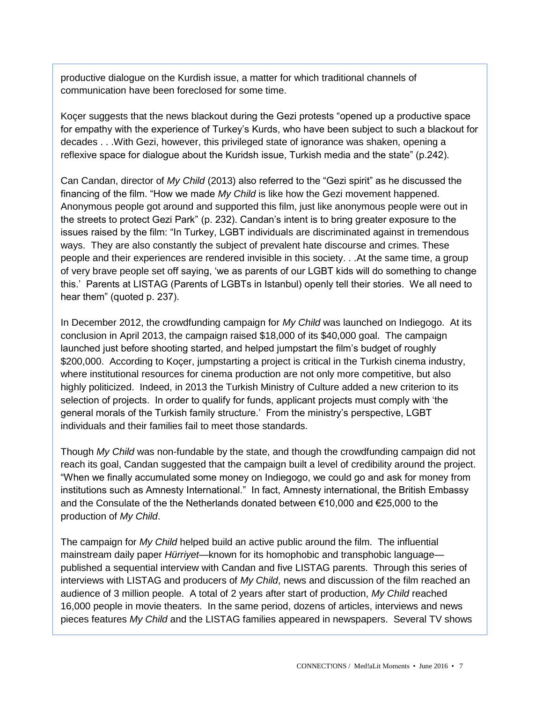productive dialogue on the Kurdish issue, a matter for which traditional channels of communication have been foreclosed for some time.

Koçer suggests that the news blackout during the Gezi protests "opened up a productive space for empathy with the experience of Turkey's Kurds, who have been subject to such a blackout for decades . . .With Gezi, however, this privileged state of ignorance was shaken, opening a reflexive space for dialogue about the Kuridsh issue, Turkish media and the state" (p.242).

Can Candan, director of *My Child* (2013) also referred to the "Gezi spirit" as he discussed the financing of the film. "How we made *My Child* is like how the Gezi movement happened. Anonymous people got around and supported this film, just like anonymous people were out in the streets to protect Gezi Park" (p. 232). Candan's intent is to bring greater exposure to the issues raised by the film: "In Turkey, LGBT individuals are discriminated against in tremendous ways. They are also constantly the subject of prevalent hate discourse and crimes. These people and their experiences are rendered invisible in this society. . .At the same time, a group of very brave people set off saying, 'we as parents of our LGBT kids will do something to change this.' Parents at LISTAG (Parents of LGBTs in Istanbul) openly tell their stories. We all need to hear them" (quoted p. 237).

In December 2012, the crowdfunding campaign for *My Child* was launched on Indiegogo. At its conclusion in April 2013, the campaign raised \$18,000 of its \$40,000 goal. The campaign launched just before shooting started, and helped jumpstart the film's budget of roughly \$200,000. According to Koçer, jumpstarting a project is critical in the Turkish cinema industry, where institutional resources for cinema production are not only more competitive, but also highly politicized. Indeed, in 2013 the Turkish Ministry of Culture added a new criterion to its selection of projects. In order to qualify for funds, applicant projects must comply with 'the general morals of the Turkish family structure.' From the ministry's perspective, LGBT individuals and their families fail to meet those standards.

Though *My Child* was non-fundable by the state, and though the crowdfunding campaign did not reach its goal, Candan suggested that the campaign built a level of credibility around the project. "When we finally accumulated some money on Indiegogo, we could go and ask for money from institutions such as Amnesty International." In fact, Amnesty international, the British Embassy and the Consulate of the the Netherlands donated between €10,000 and €25,000 to the production of *My Child*.

The campaign for *My Child* helped build an active public around the film. The influential mainstream daily paper *Hürriyet—*known for its homophobic and transphobic language published a sequential interview with Candan and five LISTAG parents. Through this series of interviews with LISTAG and producers of *My Child*, news and discussion of the film reached an audience of 3 million people. A total of 2 years after start of production, *My Child* reached 16,000 people in movie theaters. In the same period, dozens of articles, interviews and news pieces features *My Child* and the LISTAG families appeared in newspapers. Several TV shows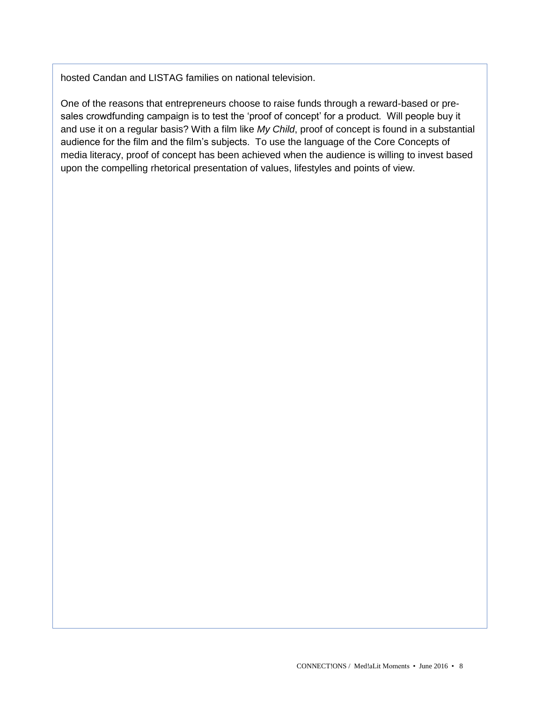hosted Candan and LISTAG families on national television.

One of the reasons that entrepreneurs choose to raise funds through a reward-based or presales crowdfunding campaign is to test the 'proof of concept' for a product. Will people buy it and use it on a regular basis? With a film like *My Child*, proof of concept is found in a substantial audience for the film and the film's subjects. To use the language of the Core Concepts of media literacy, proof of concept has been achieved when the audience is willing to invest based upon the compelling rhetorical presentation of values, lifestyles and points of view.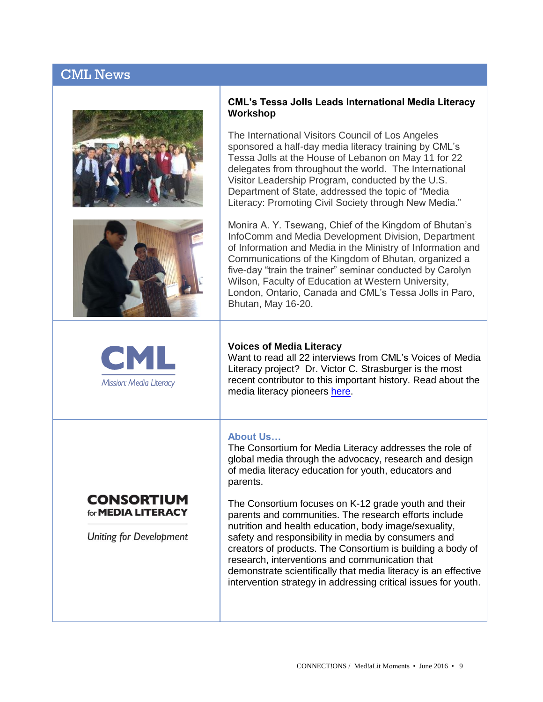# CML News





## **CML's Tessa Jolls Leads International Media Literacy Workshop**

The International Visitors Council of Los Angeles sponsored a half-day media literacy training by CML's Tessa Jolls at the House of Lebanon on May 11 for 22 delegates from throughout the world. The International Visitor Leadership Program, conducted by the U.S. Department of State, addressed the topic of "Media Literacy: Promoting Civil Society through New Media."

Monira A. Y. Tsewang, Chief of the Kingdom of Bhutan's InfoComm and Media Development Division, Department of Information and Media in the Ministry of Information and Communications of the Kingdom of Bhutan, organized a five-day "train the trainer" seminar conducted by Carolyn Wilson, Faculty of Education at Western University, London, Ontario, Canada and CML's Tessa Jolls in Paro, Bhutan, May 16-20.



#### **Voices of Media Literacy**

Want to read all 22 interviews from CML's Voices of Media Literacy project? Dr. Victor C. Strasburger is the most recent contributor to this important history. Read about the media literacy pioneers [here.](http://www.medialit.org/voices-media-literacy-international-pioneers-speak)

#### **About Us…**

The Consortium for Media Literacy addresses the role of global media through the advocacy, research and design of media literacy education for youth, educators and parents.



**Uniting for Development** 

The Consortium focuses on K-12 grade youth and their parents and communities. The research efforts include nutrition and health education, body image/sexuality, safety and responsibility in media by consumers and creators of products. The Consortium is building a body of research, interventions and communication that demonstrate scientifically that media literacy is an effective intervention strategy in addressing critical issues for youth.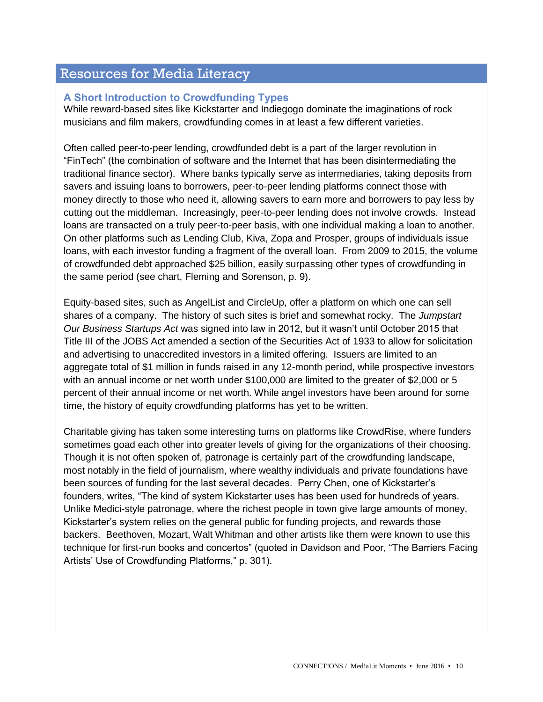## Resources for Media Literacy

## **A Short Introduction to Crowdfunding Types**

While reward-based sites like Kickstarter and Indiegogo dominate the imaginations of rock musicians and film makers, crowdfunding comes in at least a few different varieties.

Often called peer-to-peer lending, crowdfunded debt is a part of the larger revolution in "FinTech" (the combination of software and the Internet that has been disintermediating the traditional finance sector). Where banks typically serve as intermediaries, taking deposits from savers and issuing loans to borrowers, peer-to-peer lending platforms connect those with money directly to those who need it, allowing savers to earn more and borrowers to pay less by cutting out the middleman. Increasingly, peer-to-peer lending does not involve crowds. Instead loans are transacted on a truly peer-to-peer basis, with one individual making a loan to another. On other platforms such as Lending Club, Kiva, Zopa and Prosper, groups of individuals issue loans, with each investor funding a fragment of the overall loan. From 2009 to 2015, the volume of crowdfunded debt approached \$25 billion, easily surpassing other types of crowdfunding in the same period (see chart, Fleming and Sorenson, p. 9).

Equity-based sites, such as AngelList and CircleUp, offer a platform on which one can sell shares of a company. The history of such sites is brief and somewhat rocky. The *Jumpstart Our Business Startups Act* was signed into law in 2012, but it wasn't until October 2015 that Title III of the JOBS Act amended a section of the Securities Act of 1933 to allow for solicitation and advertising to unaccredited investors in a limited offering. Issuers are limited to an aggregate total of \$1 million in funds raised in any 12-month period, while prospective investors with an annual income or net worth under \$100,000 are limited to the greater of \$2,000 or 5 percent of their annual income or net worth. While angel investors have been around for some time, the history of equity crowdfunding platforms has yet to be written.

Charitable giving has taken some interesting turns on platforms like CrowdRise, where funders sometimes goad each other into greater levels of giving for the organizations of their choosing. Though it is not often spoken of, patronage is certainly part of the crowdfunding landscape, most notably in the field of journalism, where wealthy individuals and private foundations have been sources of funding for the last several decades. Perry Chen, one of Kickstarter's founders, writes, "The kind of system Kickstarter uses has been used for hundreds of years. Unlike Medici-style patronage, where the richest people in town give large amounts of money, Kickstarter's system relies on the general public for funding projects, and rewards those backers. Beethoven, Mozart, Walt Whitman and other artists like them were known to use this technique for first-run books and concertos" (quoted in Davidson and Poor, "The Barriers Facing Artists' Use of Crowdfunding Platforms," p. 301).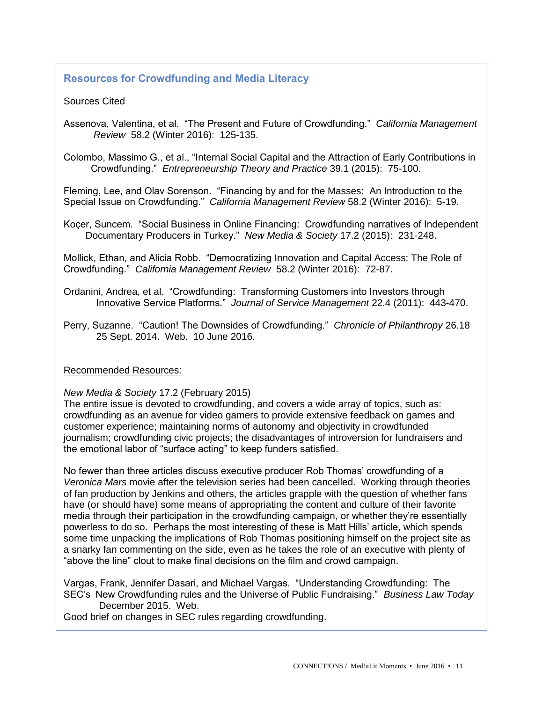## **Resources for Crowdfunding and Media Literacy**

## Sources Cited

Assenova, Valentina, et al. "The Present and Future of Crowdfunding." *California Management Review* 58.2 (Winter 2016): 125-135.

Colombo, Massimo G., et al., "Internal Social Capital and the Attraction of Early Contributions in Crowdfunding." *Entrepreneurship Theory and Practice* 39.1 (2015): 75-100.

Fleming, Lee, and Olav Sorenson. "Financing by and for the Masses: An Introduction to the Special Issue on Crowdfunding." *California Management Review* 58.2 (Winter 2016): 5-19.

Koçer, Suncem. "Social Business in Online Financing: Crowdfunding narratives of Independent Documentary Producers in Turkey." *New Media & Society* 17.2 (2015): 231-248.

Mollick, Ethan, and Alicia Robb. "Democratizing Innovation and Capital Access: The Role of Crowdfunding." *California Management Review* 58.2 (Winter 2016): 72-87.

- Ordanini, Andrea, et al. "Crowdfunding: Transforming Customers into Investors through Innovative Service Platforms." *Journal of Service Management* 22.4 (2011): 443-470.
- Perry, Suzanne. "Caution! The Downsides of Crowdfunding." *Chronicle of Philanthropy* 26.18 25 Sept. 2014. Web. 10 June 2016.

#### Recommended Resources:

#### *New Media & Society* 17.2 (February 2015)

The entire issue is devoted to crowdfunding, and covers a wide array of topics, such as: crowdfunding as an avenue for video gamers to provide extensive feedback on games and customer experience; maintaining norms of autonomy and objectivity in crowdfunded journalism; crowdfunding civic projects; the disadvantages of introversion for fundraisers and the emotional labor of "surface acting" to keep funders satisfied.

No fewer than three articles discuss executive producer Rob Thomas' crowdfunding of a *Veronica Mars* movie after the television series had been cancelled. Working through theories of fan production by Jenkins and others, the articles grapple with the question of whether fans have (or should have) some means of appropriating the content and culture of their favorite media through their participation in the crowdfunding campaign, or whether they're essentially powerless to do so. Perhaps the most interesting of these is Matt Hills' article, which spends some time unpacking the implications of Rob Thomas positioning himself on the project site as a snarky fan commenting on the side, even as he takes the role of an executive with plenty of "above the line" clout to make final decisions on the film and crowd campaign.

Vargas, Frank, Jennifer Dasari, and Michael Vargas. "Understanding Crowdfunding: The SEC's New Crowdfunding rules and the Universe of Public Fundraising." *Business Law Today*  December 2015. Web.

Good brief on changes in SEC rules regarding crowdfunding.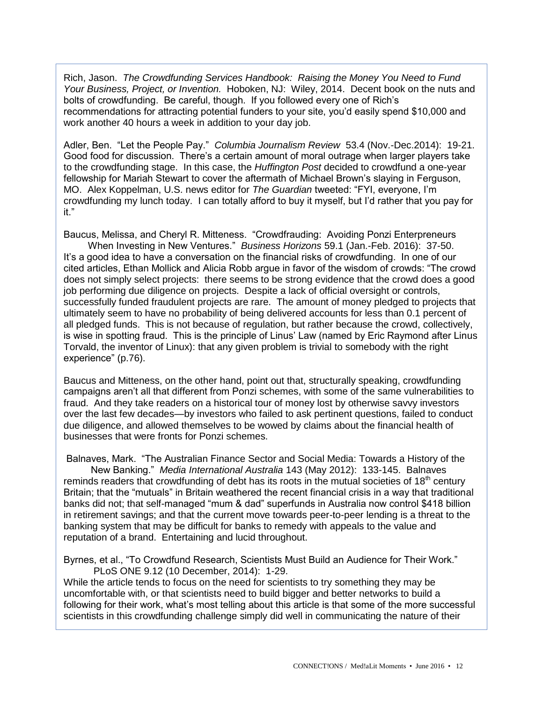Rich, Jason. *The Crowdfunding Services Handbook: Raising the Money You Need to Fund Your Business, Project, or Invention.* Hoboken, NJ: Wiley, 2014. Decent book on the nuts and bolts of crowdfunding. Be careful, though. If you followed every one of Rich's recommendations for attracting potential funders to your site, you'd easily spend \$10,000 and work another 40 hours a week in addition to your day job.

Adler, Ben. "Let the People Pay." *Columbia Journalism Review* 53.4 (Nov.-Dec.2014): 19-21. Good food for discussion. There's a certain amount of moral outrage when larger players take to the crowdfunding stage. In this case, the *Huffington Post* decided to crowdfund a one-year fellowship for Mariah Stewart to cover the aftermath of Michael Brown's slaying in Ferguson, MO. Alex Koppelman, U.S. news editor for *The Guardian* tweeted: "FYI, everyone, I'm crowdfunding my lunch today. I can totally afford to buy it myself, but I'd rather that you pay for it."

Baucus, Melissa, and Cheryl R. Mitteness. "Crowdfrauding: Avoiding Ponzi Enterpreneurs When Investing in New Ventures." *Business Horizons* 59.1 (Jan.-Feb. 2016): 37-50. It's a good idea to have a conversation on the financial risks of crowdfunding. In one of our cited articles, Ethan Mollick and Alicia Robb argue in favor of the wisdom of crowds: "The crowd does not simply select projects: there seems to be strong evidence that the crowd does a good job performing due diligence on projects. Despite a lack of official oversight or controls, successfully funded fraudulent projects are rare. The amount of money pledged to projects that ultimately seem to have no probability of being delivered accounts for less than 0.1 percent of all pledged funds. This is not because of regulation, but rather because the crowd, collectively, is wise in spotting fraud. This is the principle of Linus' Law (named by Eric Raymond after Linus Torvald, the inventor of Linux): that any given problem is trivial to somebody with the right experience" (p.76).

Baucus and Mitteness, on the other hand, point out that, structurally speaking, crowdfunding campaigns aren't all that different from Ponzi schemes, with some of the same vulnerabilities to fraud. And they take readers on a historical tour of money lost by otherwise savvy investors over the last few decades—by investors who failed to ask pertinent questions, failed to conduct due diligence, and allowed themselves to be wowed by claims about the financial health of businesses that were fronts for Ponzi schemes.

Balnaves, Mark. "The Australian Finance Sector and Social Media: Towards a History of the New Banking." *Media International Australia* 143 (May 2012): 133-145. Balnaves reminds readers that crowdfunding of debt has its roots in the mutual societies of 18<sup>th</sup> century Britain; that the "mutuals" in Britain weathered the recent financial crisis in a way that traditional banks did not; that self-managed "mum & dad" superfunds in Australia now control \$418 billion in retirement savings; and that the current move towards peer-to-peer lending is a threat to the banking system that may be difficult for banks to remedy with appeals to the value and reputation of a brand. Entertaining and lucid throughout.

Byrnes, et al., "To Crowdfund Research, Scientists Must Build an Audience for Their Work." PLoS ONE 9.12 (10 December, 2014): 1-29.

While the article tends to focus on the need for scientists to try something they may be uncomfortable with, or that scientists need to build bigger and better networks to build a following for their work, what's most telling about this article is that some of the more successful scientists in this crowdfunding challenge simply did well in communicating the nature of their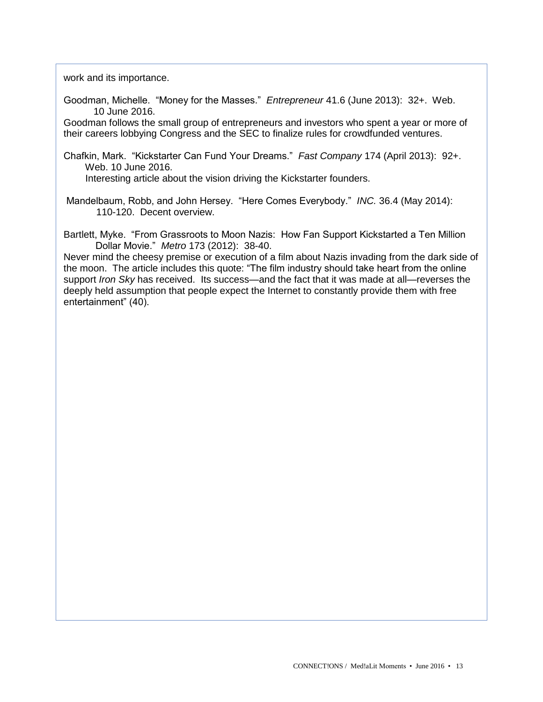work and its importance.

Goodman, Michelle. "Money for the Masses." *Entrepreneur* 41.6 (June 2013): 32+. Web. 10 June 2016.

Goodman follows the small group of entrepreneurs and investors who spent a year or more of their careers lobbying Congress and the SEC to finalize rules for crowdfunded ventures.

Chafkin, Mark. "Kickstarter Can Fund Your Dreams." *Fast Company* 174 (April 2013): 92+. Web. 10 June 2016.

Interesting article about the vision driving the Kickstarter founders.

Mandelbaum, Robb, and John Hersey. "Here Comes Everybody." *INC.* 36.4 (May 2014): 110-120. Decent overview.

Bartlett, Myke. "From Grassroots to Moon Nazis: How Fan Support Kickstarted a Ten Million Dollar Movie." *Metro* 173 (2012): 38-40.

Never mind the cheesy premise or execution of a film about Nazis invading from the dark side of the moon. The article includes this quote: "The film industry should take heart from the online support *Iron Sky* has received. Its success—and the fact that it was made at all—reverses the deeply held assumption that people expect the Internet to constantly provide them with free entertainment" (40).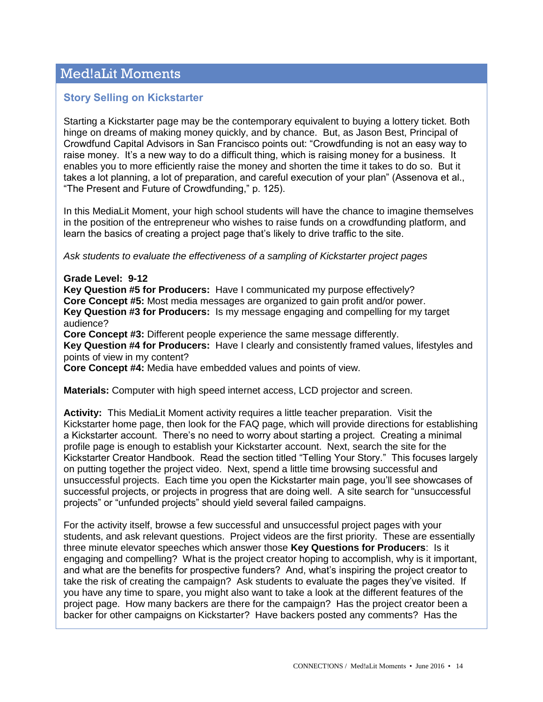# Med!aLit Moments

## **Story Selling on Kickstarter**

Starting a Kickstarter page may be the contemporary equivalent to buying a lottery ticket. Both hinge on dreams of making money quickly, and by chance. But, as Jason Best, Principal of Crowdfund Capital Advisors in San Francisco points out: "Crowdfunding is not an easy way to raise money. It's a new way to do a difficult thing, which is raising money for a business. It enables you to more efficiently raise the money and shorten the time it takes to do so. But it takes a lot planning, a lot of preparation, and careful execution of your plan" (Assenova et al., "The Present and Future of Crowdfunding," p. 125).

In this MediaLit Moment, your high school students will have the chance to imagine themselves in the position of the entrepreneur who wishes to raise funds on a crowdfunding platform, and learn the basics of creating a project page that's likely to drive traffic to the site.

*Ask students to evaluate the effectiveness of a sampling of Kickstarter project pages*

#### **Grade Level: 9-12**

**Key Question #5 for Producers:** Have I communicated my purpose effectively? **Core Concept #5:** Most media messages are organized to gain profit and/or power. **Key Question #3 for Producers:** Is my message engaging and compelling for my target audience?

**Core Concept #3:** Different people experience the same message differently.

**Key Question #4 for Producers:** Have I clearly and consistently framed values, lifestyles and points of view in my content?

**Core Concept #4:** Media have embedded values and points of view.

**Materials:** Computer with high speed internet access, LCD projector and screen.

**Activity:** This MediaLit Moment activity requires a little teacher preparation. Visit the Kickstarter home page, then look for the FAQ page, which will provide directions for establishing a Kickstarter account. There's no need to worry about starting a project. Creating a minimal profile page is enough to establish your Kickstarter account. Next, search the site for the Kickstarter Creator Handbook. Read the section titled "Telling Your Story." This focuses largely on putting together the project video. Next, spend a little time browsing successful and unsuccessful projects. Each time you open the Kickstarter main page, you'll see showcases of successful projects, or projects in progress that are doing well. A site search for "unsuccessful projects" or "unfunded projects" should yield several failed campaigns.

For the activity itself, browse a few successful and unsuccessful project pages with your students, and ask relevant questions. Project videos are the first priority. These are essentially three minute elevator speeches which answer those **Key Questions for Producers**: Is it engaging and compelling? What is the project creator hoping to accomplish, why is it important, and what are the benefits for prospective funders? And, what's inspiring the project creator to take the risk of creating the campaign? Ask students to evaluate the pages they've visited. If you have any time to spare, you might also want to take a look at the different features of the project page. How many backers are there for the campaign? Has the project creator been a backer for other campaigns on Kickstarter? Have backers posted any comments? Has the